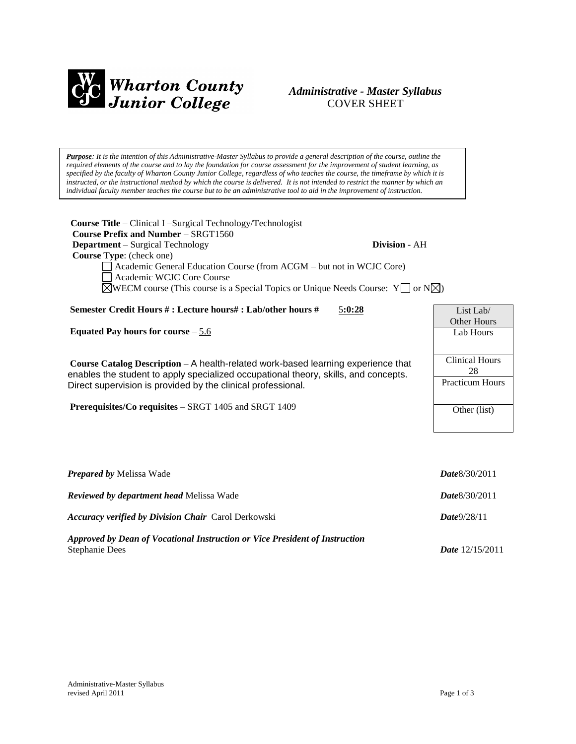

# *Administrative - Master Syllabus*  COVER SHEET

*Purpose: It is the intention of this Administrative-Master Syllabus to provide a general description of the course, outline the required elements of the course and to lay the foundation for course assessment for the improvement of student learning, as specified by the faculty of Wharton County Junior College, regardless of who teaches the course, the timeframe by which it is instructed, or the instructional method by which the course is delivered. It is not intended to restrict the manner by which an individual faculty member teaches the course but to be an administrative tool to aid in the improvement of instruction.*

**Course Title** – Clinical I –Surgical Technology/Technologist  **Course Prefix and Number** – SRGT1560 **Department** – Surgical Technology **Division** - AH  **Course Type**: (check one) Academic General Education Course (from ACGM – but not in WCJC Core) Academic WCJC Core Course  $\boxtimes$ WECM course (This course is a Special Topics or Unique Needs Course: Y or N $\boxtimes$ ) **Semester Credit Hours # : Lecture hours# : Lab/other hours #** 5**:0:28 Equated Pay hours for course** – 5.6 **Course Catalog Description** – A health-related work-based learning experience that enables the student to apply specialized occupational theory, skills, and concepts. Direct supervision is provided by the clinical professional. **Prerequisites/Co requisites** – SRGT 1405 and SRGT 1409 List Lab/ Other Hours Lab Hours Clinical Hours Practicum Hours Other (list)

| <b>Prepared by Melissa Wade</b>                                                               | <b>Date 8/30/2011</b>    |
|-----------------------------------------------------------------------------------------------|--------------------------|
| <b>Reviewed by department head Melissa Wade</b>                                               | <b>Date 8/30/2011</b>    |
| <b>Accuracy verified by Division Chair</b> Carol Derkowski                                    | Date9/28/11              |
| Approved by Dean of Vocational Instruction or Vice President of Instruction<br>Stephanie Dees | <i>Date</i> $12/15/2011$ |

28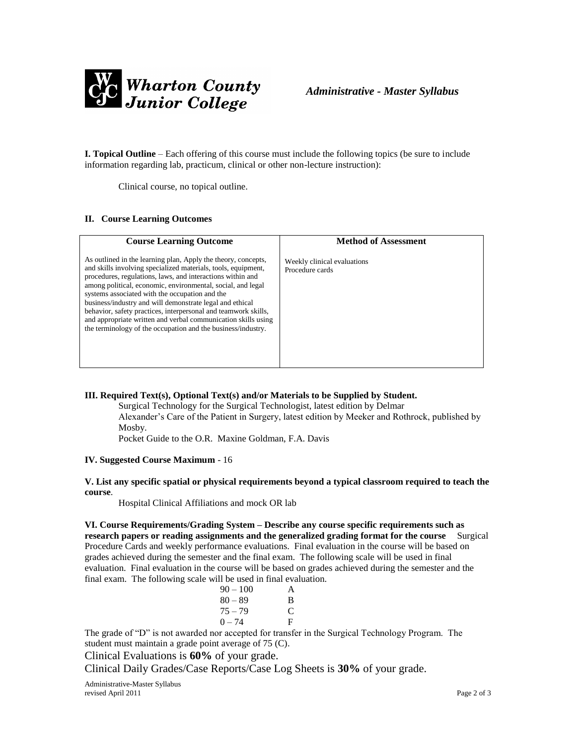

**I. Topical Outline** – Each offering of this course must include the following topics (be sure to include information regarding lab, practicum, clinical or other non-lecture instruction):

Clinical course, no topical outline.

#### **II. Course Learning Outcomes**

| <b>Course Learning Outcome</b>                                                                                                                                                                                                                                                                                                                                                                                                                                                                                                                                               | <b>Method of Assessment</b>                    |
|------------------------------------------------------------------------------------------------------------------------------------------------------------------------------------------------------------------------------------------------------------------------------------------------------------------------------------------------------------------------------------------------------------------------------------------------------------------------------------------------------------------------------------------------------------------------------|------------------------------------------------|
| As outlined in the learning plan, Apply the theory, concepts,<br>and skills involving specialized materials, tools, equipment,<br>procedures, regulations, laws, and interactions within and<br>among political, economic, environmental, social, and legal<br>systems associated with the occupation and the<br>business/industry and will demonstrate legal and ethical<br>behavior, safety practices, interpersonal and teamwork skills,<br>and appropriate written and verbal communication skills using<br>the terminology of the occupation and the business/industry. | Weekly clinical evaluations<br>Procedure cards |

### **III. Required Text(s), Optional Text(s) and/or Materials to be Supplied by Student.**

Surgical Technology for the Surgical Technologist, latest edition by Delmar Alexander's Care of the Patient in Surgery, latest edition by Meeker and Rothrock, published by Mosby.

Pocket Guide to the O.R. Maxine Goldman, F.A. Davis

#### **IV. Suggested Course Maximum** - 16

#### **V. List any specific spatial or physical requirements beyond a typical classroom required to teach the course**.

Hospital Clinical Affiliations and mock OR lab

**VI. Course Requirements/Grading System – Describe any course specific requirements such as research papers or reading assignments and the generalized grading format for the course** Surgical Procedure Cards and weekly performance evaluations. Final evaluation in the course will be based on grades achieved during the semester and the final exam. The following scale will be used in final evaluation. Final evaluation in the course will be based on grades achieved during the semester and the final exam. The following scale will be used in final evaluation.

| $90 - 100$ | A |
|------------|---|
| $80 - 89$  | B |
| $75 - 79$  | C |
| $0 - 74$   | F |

The grade of "D" is not awarded nor accepted for transfer in the Surgical Technology Program. The student must maintain a grade point average of 75 (C).

Clinical Evaluations is **60%** of your grade.

Clinical Daily Grades/Case Reports/Case Log Sheets is **30%** of your grade.